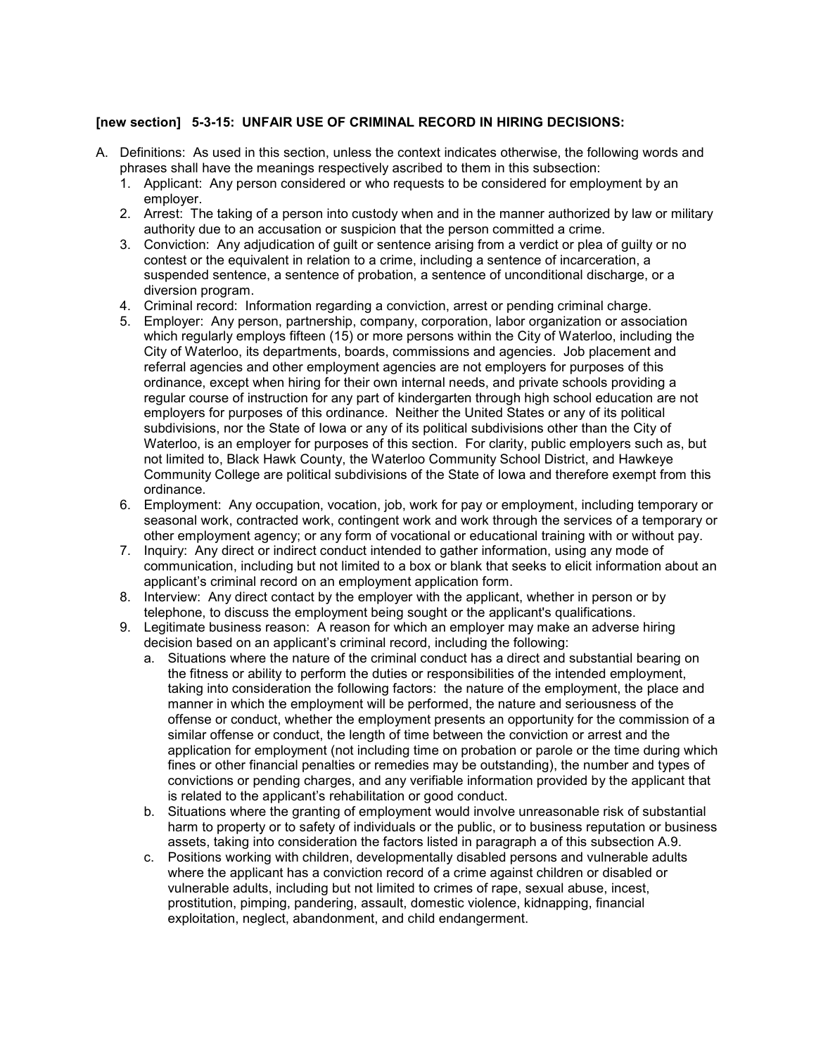## **[new section] 5-3-15: UNFAIR USE OF CRIMINAL RECORD IN HIRING DECISIONS:**

- A. Definitions: As used in this section, unless the context indicates otherwise, the following words and phrases shall have the meanings respectively ascribed to them in this subsection:
	- 1. Applicant: Any person considered or who requests to be considered for employment by an employer.
	- 2. Arrest: The taking of a person into custody when and in the manner authorized by law or military authority due to an accusation or suspicion that the person committed a crime.
	- 3. Conviction: Any adjudication of guilt or sentence arising from a verdict or plea of guilty or no contest or the equivalent in relation to a crime, including a sentence of incarceration, a suspended sentence, a sentence of probation, a sentence of unconditional discharge, or a diversion program.
	- 4. Criminal record: Information regarding a conviction, arrest or pending criminal charge.
	- 5. Employer: Any person, partnership, company, corporation, labor organization or association which regularly employs fifteen (15) or more persons within the City of Waterloo, including the City of Waterloo, its departments, boards, commissions and agencies. Job placement and referral agencies and other employment agencies are not employers for purposes of this ordinance, except when hiring for their own internal needs, and private schools providing a regular course of instruction for any part of kindergarten through high school education are not employers for purposes of this ordinance. Neither the United States or any of its political subdivisions, nor the State of Iowa or any of its political subdivisions other than the City of Waterloo, is an employer for purposes of this section. For clarity, public employers such as, but not limited to, Black Hawk County, the Waterloo Community School District, and Hawkeye Community College are political subdivisions of the State of Iowa and therefore exempt from this ordinance.
	- 6. Employment: Any occupation, vocation, job, work for pay or employment, including temporary or seasonal work, contracted work, contingent work and work through the services of a temporary or other employment agency; or any form of vocational or educational training with or without pay.
	- 7. Inquiry: Any direct or indirect conduct intended to gather information, using any mode of communication, including but not limited to a box or blank that seeks to elicit information about an applicant's criminal record on an employment application form.
	- 8. Interview: Any direct contact by the employer with the applicant, whether in person or by telephone, to discuss the employment being sought or the applicant's qualifications.
	- 9. Legitimate business reason: A reason for which an employer may make an adverse hiring decision based on an applicant's criminal record, including the following:
		- a. Situations where the nature of the criminal conduct has a direct and substantial bearing on the fitness or ability to perform the duties or responsibilities of the intended employment, taking into consideration the following factors: the nature of the employment, the place and manner in which the employment will be performed, the nature and seriousness of the offense or conduct, whether the employment presents an opportunity for the commission of a similar offense or conduct, the length of time between the conviction or arrest and the application for employment (not including time on probation or parole or the time during which fines or other financial penalties or remedies may be outstanding), the number and types of convictions or pending charges, and any verifiable information provided by the applicant that is related to the applicant's rehabilitation or good conduct.
		- b. Situations where the granting of employment would involve unreasonable risk of substantial harm to property or to safety of individuals or the public, or to business reputation or business assets, taking into consideration the factors listed in paragraph a of this subsection A.9.
		- c. Positions working with children, developmentally disabled persons and vulnerable adults where the applicant has a conviction record of a crime against children or disabled or vulnerable adults, including but not limited to crimes of rape, sexual abuse, incest, prostitution, pimping, pandering, assault, domestic violence, kidnapping, financial exploitation, neglect, abandonment, and child endangerment.